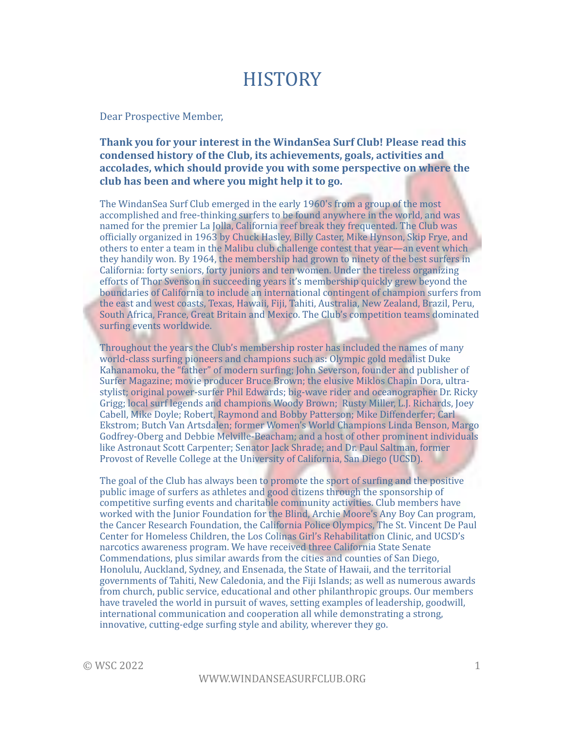## **HISTORY**

#### Dear Prospective Member,

#### **Thank you for your interest in the WindanSea Surf Club! Please read this** condensed history of the Club, its achievements, goals, activities and accolades, which should provide you with some perspective on where the club has been and where you might help it to go.

The WindanSea Surf Club emerged in the early 1960's from a group of the most accomplished and free-thinking surfers to be found anywhere in the world, and was named for the premier La Jolla, California reef break they frequented. The Club was officially organized in 1963 by Chuck Hasley, Billy Caster, Mike Hynson, Skip Frye, and others to enter a team in the Malibu club challenge contest that year—an event which they handily won. By 1964, the membership had grown to ninety of the best surfers in California: forty seniors, forty juniors and ten women. Under the tireless organizing efforts of Thor Svenson in succeeding years it's membership quickly grew beyond the boundaries of California to include an international contingent of champion surfers from the east and west coasts, Texas, Hawaii, Fiji, Tahiti, Australia, New Zealand, Brazil, Peru, South Africa, France, Great Britain and Mexico. The Club's competition teams dominated surfing events worldwide.

Throughout the years the Club's membership roster has included the names of many world-class surfing pioneers and champions such as: Olympic gold medalist Duke Kahanamoku, the "father" of modern surfing; John Severson, founder and publisher of Surfer Magazine; movie producer Bruce Brown; the elusive Miklos Chapin Dora, ultrastylist; original power-surfer Phil Edwards; big-wave rider and oceanographer Dr. Ricky Grigg; local surf legends and champions Woody Brown; Rusty Miller, L.J. Richards, Joey Cabell, Mike Doyle; Robert, Raymond and Bobby Patterson; Mike Diffenderfer; Carl Ekstrom; Butch Van Artsdalen; former Women's World Champions Linda Benson, Margo Godfrey-Oberg and Debbie Melville-Beacham; and a host of other prominent individuals like Astronaut Scott Carpenter; Senator Jack Shrade; and Dr. Paul Saltman, former Provost of Revelle College at the University of California, San Diego (UCSD).

The goal of the Club has always been to promote the sport of surfing and the positive public image of surfers as athletes and good citizens through the sponsorship of competitive surfing events and charitable community activities. Club members have worked with the Junior Foundation for the Blind, Archie Moore's Any Boy Can program, the Cancer Research Foundation, the California Police Olympics, The St. Vincent De Paul Center for Homeless Children, the Los Colinas Girl's Rehabilitation Clinic, and UCSD's narcotics awareness program. We have received three California State Senate Commendations, plus similar awards from the cities and counties of San Diego, Honolulu, Auckland, Sydney, and Ensenada, the State of Hawaii, and the territorial governments of Tahiti, New Caledonia, and the Fiji Islands; as well as numerous awards from church, public service, educational and other philanthropic groups. Our members have traveled the world in pursuit of waves, setting examples of leadership, goodwill, international communication and cooperation all while demonstrating a strong, innovative, cutting-edge surfing style and ability, wherever they go.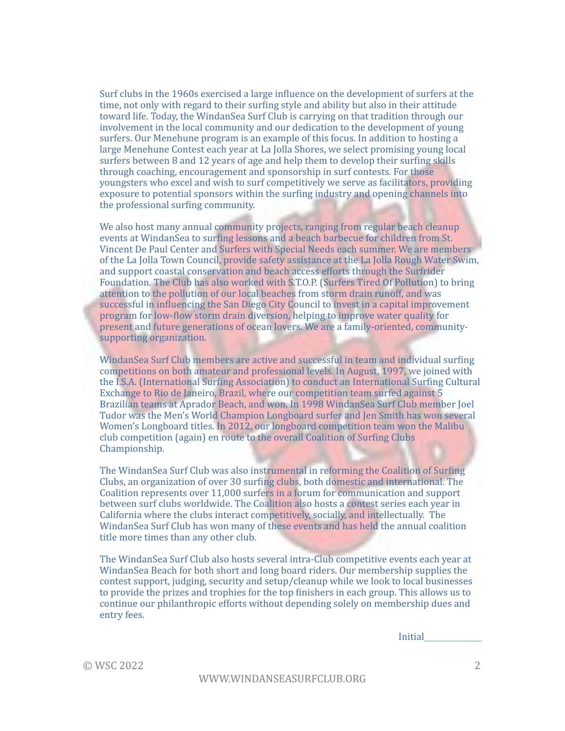Surf clubs in the 1960s exercised a large influence on the development of surfers at the time, not only with regard to their surfing style and ability but also in their attitude toward life. Today, the WindanSea Surf Club is carrying on that tradition through our involvement in the local community and our dedication to the development of young surfers. Our Menehune program is an example of this focus. In addition to hosting a large Menehune Contest each year at La Jolla Shores, we select promising young local surfers between 8 and 12 years of age and help them to develop their surfing skills through coaching, encouragement and sponsorship in surf contests. For those youngsters who excel and wish to surf competitively we serve as facilitators, providing exposure to potential sponsors within the surfing industry and opening channels into the professional surfing community.

We also host many annual community projects, ranging from regular beach cleanup events at WindanSea to surfing lessons and a beach barbecue for children from St. Vincent De Paul Center and Surfers with Special Needs each summer. We are members of the La Jolla Town Council, provide safety assistance at the La Jolla Rough Water Swim, and support coastal conservation and beach access efforts through the Surfrider Foundation. The Club has also worked with S.T.O.P. (Surfers Tired Of Pollution) to bring attention to the pollution of our local beaches from storm drain runoff, and was successful in influencing the San Diego City Council to invest in a capital improvement program for low-flow storm drain diversion, helping to improve water quality for present and future generations of ocean lovers. We are a family-oriented, communitysupporting organization.

WindanSea Surf Club members are active and successful in team and individual surfing competitions on both amateur and professional levels. In August, 1997, we joined with the I.S.A. (International Surfing Association) to conduct an International Surfing Cultural Exchange to Rio de Janeiro, Brazil, where our competition team surfed against 5 Brazilian teams at Aprador Beach, and won. In 1998 WindanSea Surf Club member Joel Tudor was the Men's World Champion Longboard surfer and Jen Smith has won several Women's Longboard titles. In 2012, our longboard competition team won the Malibu club competition (again) en route to the overall Coalition of Surfing Clubs Championship. 

The WindanSea Surf Club was also instrumental in reforming the Coalition of Surfing Clubs, an organization of over 30 surfing clubs, both domestic and international. The Coalition represents over 11,000 surfers in a forum for communication and support between surf clubs worldwide. The Coalition also hosts a contest series each year in California where the clubs interact competitively, socially, and intellectually. The WindanSea Surf Club has won many of these events and has held the annual coalition title more times than any other club.

The WindanSea Surf Club also hosts several intra-Club competitive events each year at WindanSea Beach for both short and long board riders. Our membership supplies the contest support, judging, security and setup/cleanup while we look to local businesses to provide the prizes and trophies for the top finishers in each group. This allows us to continue our philanthropic efforts without depending solely on membership dues and entry fees.

Initial 

 $\odot$  WSC 2022  $\qquad \qquad$  2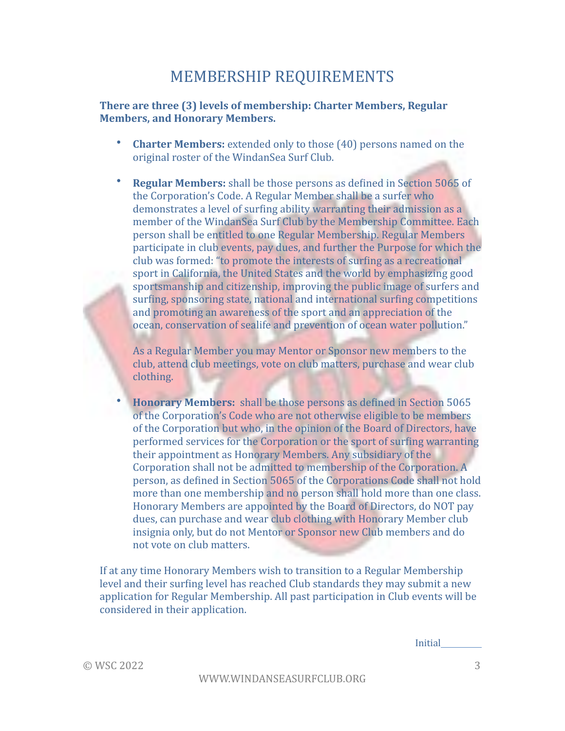### MEMBERSHIP REQUIREMENTS

#### **There are three (3) levels of membership: Charter Members, Regular Members, and Honorary Members.**

- **Charter Members:** extended only to those (40) persons named on the original roster of the WindanSea Surf Club.
- **Regular Members:** shall be those persons as defined in Section 5065 of the Corporation's Code. A Regular Member shall be a surfer who demonstrates a level of surfing ability warranting their admission as a member of the WindanSea Surf Club by the Membership Committee. Each person shall be entitled to one Regular Membership. Regular Members participate in club events, pay dues, and further the Purpose for which the club was formed: "to promote the interests of surfing as a recreational sport in California, the United States and the world by emphasizing good sportsmanship and citizenship, improving the public image of surfers and surfing, sponsoring state, national and international surfing competitions and promoting an awareness of the sport and an appreciation of the ocean, conservation of sealife and prevention of ocean water pollution."

As a Regular Member you may Mentor or Sponsor new members to the club, attend club meetings, vote on club matters, purchase and wear club clothing.

**Honorary Members:** shall be those persons as defined in Section 5065 of the Corporation's Code who are not otherwise eligible to be members of the Corporation but who, in the opinion of the Board of Directors, have performed services for the Corporation or the sport of surfing warranting their appointment as Honorary Members. Any subsidiary of the Corporation shall not be admitted to membership of the Corporation. A person, as defined in Section 5065 of the Corporations Code shall not hold more than one membership and no person shall hold more than one class. Honorary Members are appointed by the Board of Directors, do NOT pay dues, can purchase and wear club clothing with Honorary Member club insignia only, but do not Mentor or Sponsor new Club members and do not vote on club matters.

If at any time Honorary Members wish to transition to a Regular Membership level and their surfing level has reached Club standards they may submit a new application for Regular Membership. All past participation in Club events will be considered in their application.

**Initial** 

 $\odot$  WSC 2022  $\qquad \qquad$  3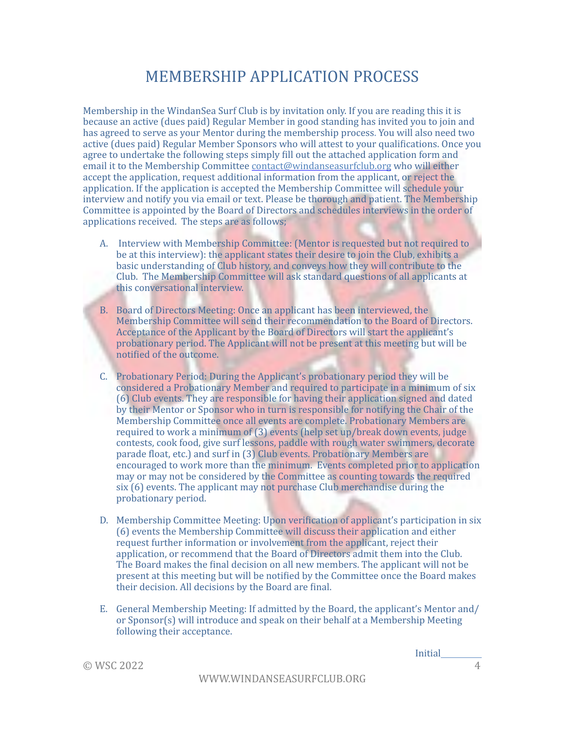### MEMBERSHIP APPLICATION PROCESS

Membership in the WindanSea Surf Club is by invitation only. If you are reading this it is because an active (dues paid) Regular Member in good standing has invited you to join and has agreed to serve as your Mentor during the membership process. You will also need two active (dues paid) Regular Member Sponsors who will attest to your qualifications. Once you agree to undertake the following steps simply fill out the attached application form and email it to the Membership Committee  $contact@wind$  and  $\frac{1}{2}$  who will either accept the application, request additional information from the applicant, or reject the application. If the application is accepted the Membership Committee will schedule your interview and notify you via email or text. Please be thorough and patient. The Membership Committee is appointed by the Board of Directors and schedules interviews in the order of applications received. The steps are as follows;

- A. Interview with Membership Committee: (Mentor is requested but not required to be at this interview): the applicant states their desire to join the Club, exhibits a basic understanding of Club history, and conveys how they will contribute to the Club. The Membership Committee will ask standard questions of all applicants at this conversational interview.
- B. Board of Directors Meeting: Once an applicant has been interviewed, the Membership Committee will send their recommendation to the Board of Directors. Acceptance of the Applicant by the Board of Directors will start the applicant's probationary period. The Applicant will not be present at this meeting but will be notified of the outcome.
- C. Probationary Period: During the Applicant's probationary period they will be considered a Probationary Member and required to participate in a minimum of six (6) Club events. They are responsible for having their application signed and dated by their Mentor or Sponsor who in turn is responsible for notifying the Chair of the Membership Committee once all events are complete. Probationary Members are required to work a minimum of  $(3)$  events (help set up/break down events, judge contests, cook food, give surf lessons, paddle with rough water swimmers, decorate parade float, etc.) and surf in (3) Club events. Probationary Members are encouraged to work more than the minimum. Events completed prior to application may or may not be considered by the Committee as counting towards the required  $six(6)$  events. The applicant may not purchase Club merchandise during the probationary period.
- D. Membership Committee Meeting: Upon verification of applicant's participation in six (6) events the Membership Committee will discuss their application and either request further information or involvement from the applicant, reject their application, or recommend that the Board of Directors admit them into the Club. The Board makes the final decision on all new members. The applicant will not be present at this meeting but will be notified by the Committee once the Board makes their decision. All decisions by the Board are final.
- E. General Membership Meeting: If admitted by the Board, the applicant's Mentor and/ or Sponsor(s) will introduce and speak on their behalf at a Membership Meeting following their acceptance.

Initial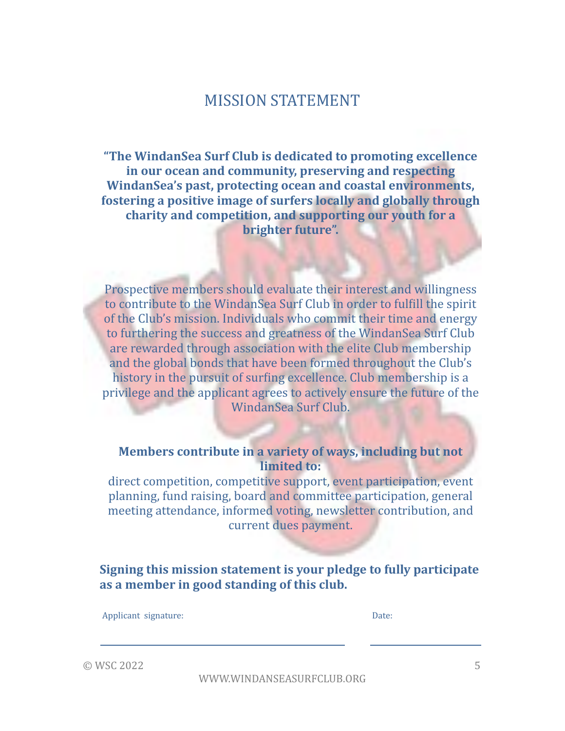#### MISSION STATEMENT

**"The WindanSea Surf Club is dedicated to promoting excellence** in our ocean and community, preserving and respecting **WindanSea's past, protecting ocean and coastal environments, fostering a positive image of surfers locally and globally through charity and competition, and supporting our youth for a brighter future".** 

Prospective members should evaluate their interest and willingness to contribute to the WindanSea Surf Club in order to fulfill the spirit of the Club's mission. Individuals who commit their time and energy to furthering the success and greatness of the WindanSea Surf Club are rewarded through association with the elite Club membership and the global bonds that have been formed throughout the Club's history in the pursuit of surfing excellence. Club membership is a privilege and the applicant agrees to actively ensure the future of the WindanSea Surf Club.

**Members contribute in a variety of ways, including but not limited** to:

direct competition, competitive support, event participation, event planning, fund raising, board and committee participation, general meeting attendance, informed voting, newsletter contribution, and current dues payment.

**Signing this mission statement is your pledge to fully participate** as a member in good standing of this club.

Applicant signature: Date:

 $\odot$  WSC 2022  $\qquad \qquad$  5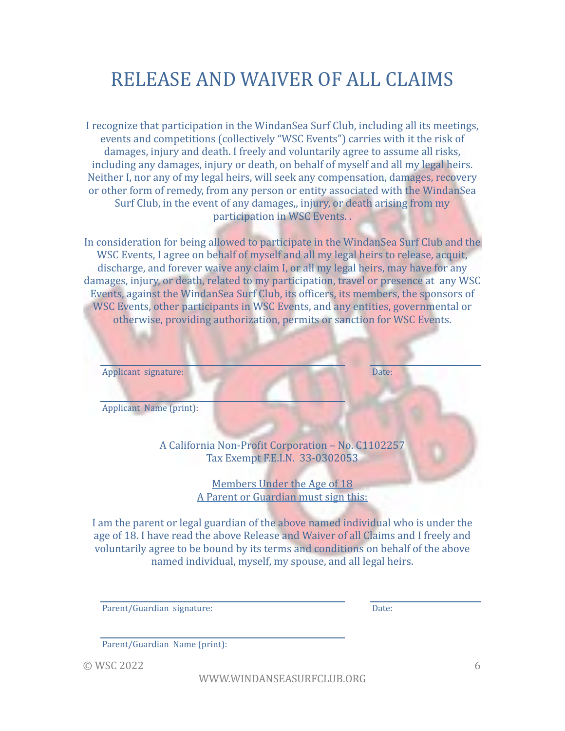# RELEASE AND WAIVER OF ALL CLAIMS

I recognize that participation in the WindanSea Surf Club, including all its meetings, events and competitions (collectively "WSC Events") carries with it the risk of damages, injury and death. I freely and voluntarily agree to assume all risks, including any damages, injury or death, on behalf of myself and all my legal heirs. Neither I, nor any of my legal heirs, will seek any compensation, damages, recovery or other form of remedy, from any person or entity associated with the WindanSea Surf Club, in the event of any damages,, injury, or death arising from my participation in WSC Events. .

In consideration for being allowed to participate in the WindanSea Surf Club and the WSC Events, I agree on behalf of myself and all my legal heirs to release, acquit, discharge, and forever waive any claim I, or all my legal heirs, may have for any damages, injury, or death, related to my participation, travel or presence at any WSC Events, against the WindanSea Surf Club, its officers, its members, the sponsors of WSC Events, other participants in WSC Events, and any entities, governmental or otherwise, providing authorization, permits or sanction for WSC Events.

| Applicant signature:                                                                 | Date: |
|--------------------------------------------------------------------------------------|-------|
| Applicant Name (print):                                                              |       |
| A California Non-Profit Corporation - No. C1102257<br>Tax Exempt F.E.I.N. 33-0302053 |       |
| Members Under the Age of 18                                                          |       |

A Parent or Guardian must sign this:

I am the parent or legal guardian of the above named individual who is under the age of 18. I have read the above Release and Waiver of all Claims and I freely and voluntarily agree to be bound by its terms and conditions on behalf of the above named individual, myself, my spouse, and all legal heirs.

Parent/Guardian signature: Date:

Parent/Guardian Name (print):

 $\odot$  WSC 2022 6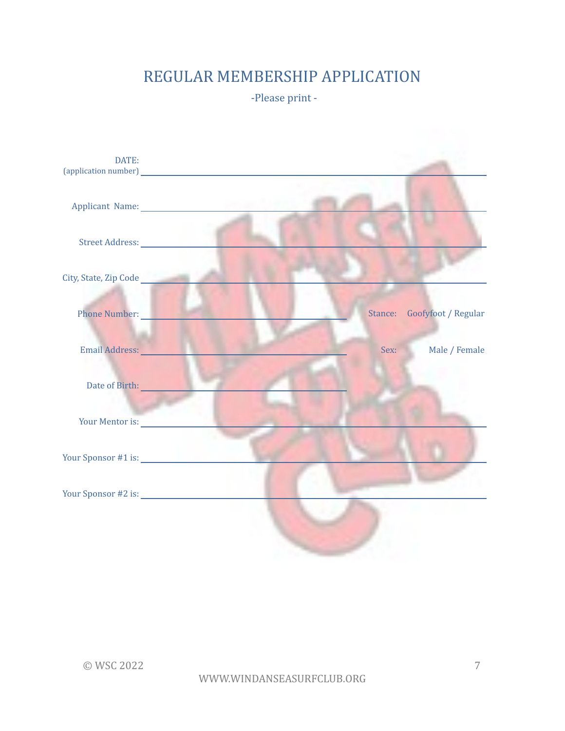## REGULAR MEMBERSHIP APPLICATION

-Please print -

| DATE:                        |                                                                                                                                                                                                                                |                             |
|------------------------------|--------------------------------------------------------------------------------------------------------------------------------------------------------------------------------------------------------------------------------|-----------------------------|
|                              |                                                                                                                                                                                                                                |                             |
|                              |                                                                                                                                                                                                                                |                             |
| City, State, Zip Code        |                                                                                                                                                                                                                                |                             |
| Phone Number:                |                                                                                                                                                                                                                                | Stance: Goofyfoot / Regular |
| Email Address: No. 1994      | Sex:                                                                                                                                                                                                                           | Male / Female               |
| Date of Birth: New York 1988 |                                                                                                                                                                                                                                |                             |
|                              | Your Mentor is: New York New York New York New York New York New York New York New York New York New York New York New York New York New York New York New York New York New York New York New York New York New York New York |                             |
|                              |                                                                                                                                                                                                                                |                             |
|                              |                                                                                                                                                                                                                                |                             |
|                              |                                                                                                                                                                                                                                |                             |